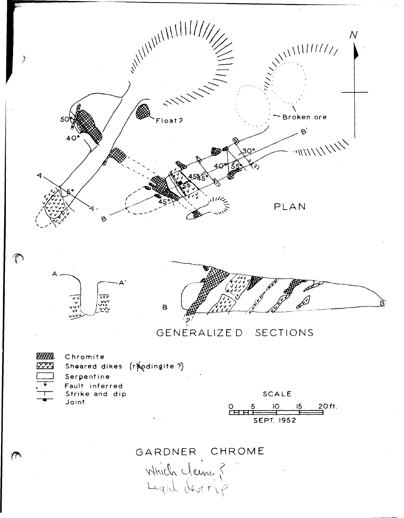





## SECTIONS GENERALIZE D

**拼拥**. **MAR** 

Chromite Sheared dikes (r) odingite?) Serpentine Fault inferred Strike and dip Joint

**SCALE** 20 ft. IO  $15$  $\overset{\circ}{\text{er}}$ **SEPT. 1952** 

## GARDNER CHROME

Which claim ?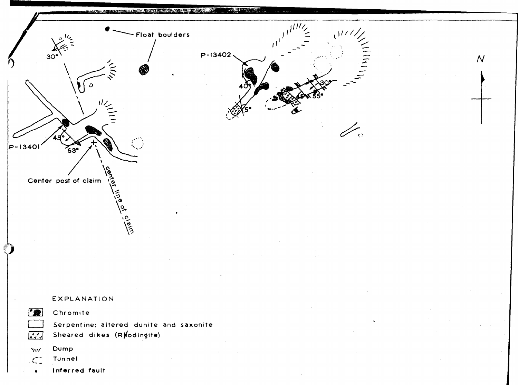

Serpentine; altered dunite and saxonite Sheared dikes (Ryodingite)

Dump  $\gamma_{\rm UV}$ 

 $\begin{bmatrix} 1 & 1 \\ 1 & 1 \\ 1 & 1 \end{bmatrix}$ 

 $\blacklozenge$ 

Tunnel  $\subset$ 

Inferred fault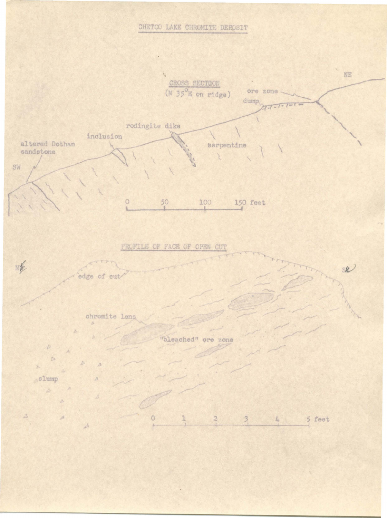## CHETCO LAKE CHROMITE DEPOSIT



 $\circ$ 1  $\bar{2}$  $\overline{\mathbf{3}}$  $4$ 5 feet

 $\Delta$ 

 $\lambda$ 

 $\mathcal{A}$ 

 $\Delta$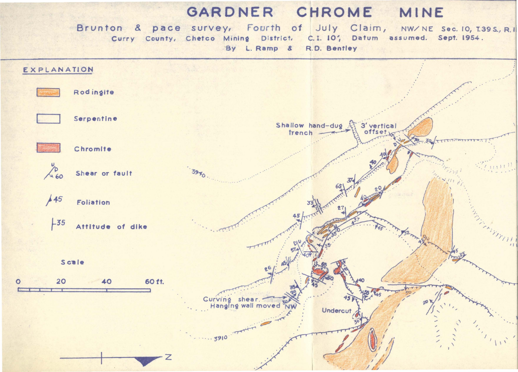## GARDNER CHROME MINE

Brunton & pace survey, Fourth of July Claim, NW/NE Sec. 10, T.39S., R.I. Curry County, Chetco Mining District. C.I. 10', Datum assumed. Sept. 1954. By L. Ramp & R.D. Bentley